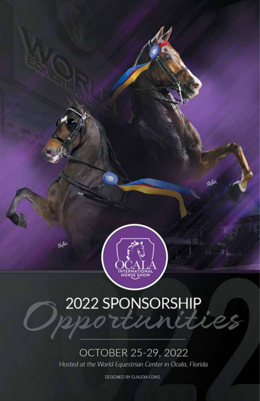

Shiftet,

çkilu

# 2022 SPONSORSHIP

# OCTOBER 25-29, 2022

Hosted at the World Equestrian Center in Ocala, Florida

DESIGNED BY CLAUDIA COKIS.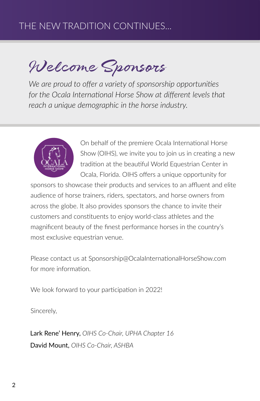# THE NEW TRADITION CONTINUES...

Welcome Sponsors

*We are proud to offer a variety of sponsorship opportunities*  for the Ocala International Horse Show at different levels that *reach a unique demographic in the horse industry.*



On behalf of the premiere Ocala International Horse Show (OIHS), we invite you to join us in creating a new tradition at the beautiful World Equestrian Center in Ocala, Florida. OIHS offers a unique opportunity for

sponsors to showcase their products and services to an affluent and elite audience of horse trainers, riders, spectators, and horse owners from across the globe. It also provides sponsors the chance to invite their customers and constituents to enjoy world-class athletes and the magnificent beauty of the finest performance horses in the country's most exclusive equestrian venue.

Please contact us at Sponsorship@OcalaInternationalHorseShow.com for more information.

We look forward to your participation in 2022!

Sincerely,

Lark Rene' Henry, *OIHS Co-Chair, UPHA Chapter 16* David Mount, *OIHS Co-Chair, ASHBA*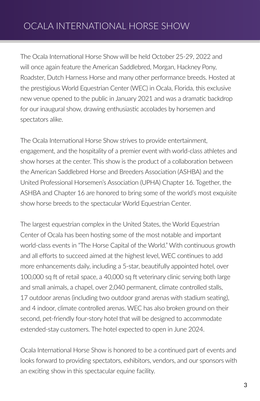The Ocala International Horse Show will be held October 25-29, 2022 and will once again feature the American Saddlebred, Morgan, Hackney Pony, Roadster, Dutch Harness Horse and many other performance breeds. Hosted at the prestigious World Equestrian Center (WEC) in Ocala, Florida, this exclusive new venue opened to the public in January 2021 and was a dramatic backdrop for our inaugural show, drawing enthusiastic accolades by horsemen and spectators alike.

The Ocala International Horse Show strives to provide entertainment, engagement, and the hospitality of a premier event with world-class athletes and show horses at the center. This show is the product of a collaboration between the American Saddlebred Horse and Breeders Association (ASHBA) and the United Professional Horsemen's Association (UPHA) Chapter 16. Together, the ASHBA and Chapter 16 are honored to bring some of the world's most exquisite show horse breeds to the spectacular World Equestrian Center.

The largest equestrian complex in the United States, the World Equestrian Center of Ocala has been hosting some of the most notable and important world-class events in "The Horse Capital of the World." With continuous growth and all efforts to succeed aimed at the highest level, WEC continues to add more enhancements daily, including a 5-star, beautifully appointed hotel, over 100,000 sq ft of retail space, a 40,000 sq ft veterinary clinic serving both large and small animals, a chapel, over 2,040 permanent, climate controlled stalls, 17 outdoor arenas (including two outdoor grand arenas with stadium seating), and 4 indoor, climate controlled arenas. WEC has also broken ground on their second, pet-friendly four-story hotel that will be designed to accommodate extended-stay customers. The hotel expected to open in June 2024.

Ocala International Horse Show is honored to be a continued part of events and looks forward to providing spectators, exhibitors, vendors, and our sponsors with an exciting show in this spectacular equine facility.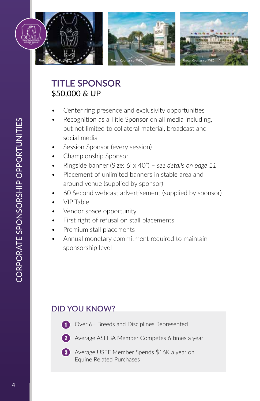

# **TITLE SPONSOR** \$50,000 & UP

- Center ring presence and exclusivity opportunities
- Recognition as a Title Sponsor on all media including, but not limited to collateral material, broadcast and social media
- Session Sponsor (every session)
- Championship Sponsor
- Ringside banner (Size: 6' x 40") *see details on page 11*
- Placement of unlimited banners in stable area and around venue (supplied by sponsor)
- 60 Second webcast advertisement (supplied by sponsor)
- VIP Table
- Vendor space opportunity
- First right of refusal on stall placements
- Premium stall placements
- Annual monetary commitment required to maintain sponsorship level

# **DID YOU KNOW?**



- Over 6+ Breeds and Disciplines Represented
- 1<br>3<br>3
- **2** Average ASHBA Member Competes 6 times a year
- **8** Average USEF Member Spends \$16K a year on Equine Related Purchases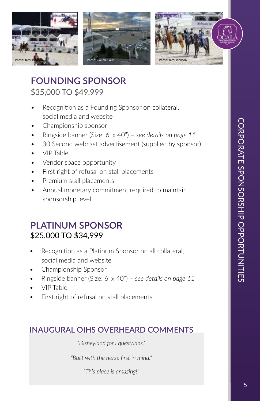

**FOUNDING SPONSOR** \$35,000 TO \$49,999

- Recognition as a Founding Sponsor on collateral, social media and website
- Championship sponsor
- Ringside banner (Size: 6' x 40") *see details on page 11*
- 30 Second webcast advertisement (supplied by sponsor)
- VIP Table
- Vendor space opportunity
- First right of refusal on stall placements
- Premium stall placements
- Annual monetary commitment required to maintain sponsorship level

# **PLATINUM SPONSOR** \$25,000 TO \$34,999

- Recognition as a Platinum Sponsor on all collateral, social media and website
- Championship Sponsor
- Ringside banner (Size: 6' x 40") *see details on page 11*
- VIP Table
- First right of refusal on stall placements

#### **INAUGURAL OIHS OVERHEARD COMMENTS**

*"Disneyland for Equestrians."*

*"Built with the horse first in mind."*

*"This place is amazing!"*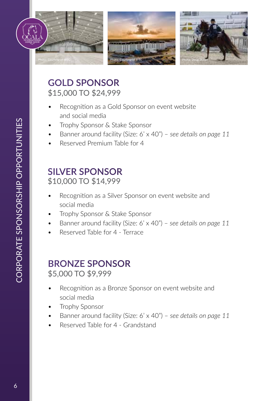

# **GOLD SPONSOR** \$15,000 TO \$24,999

- Recognition as a Gold Sponsor on event website and social media
- Trophy Sponsor & Stake Sponsor
- Banner around facility (Size: 6' x 40") *see details on page 11*
- Reserved Premium Table for 4

### **SILVER SPONSOR** \$10,000 TO \$14,999

- Recognition as a Silver Sponsor on event website and social media
- Trophy Sponsor & Stake Sponsor
- Banner around facility (Size: 6' x 40") *see details on page 11*
- Reserved Table for 4 Terrace

# **BRONZE SPONSOR** \$5,000 TO \$9,999

- Recognition as a Bronze Sponsor on event website and social media
- Trophy Sponsor
- Banner around facility (Size: 6' x 40") *see details on page 11*
- Reserved Table for 4 Grandstand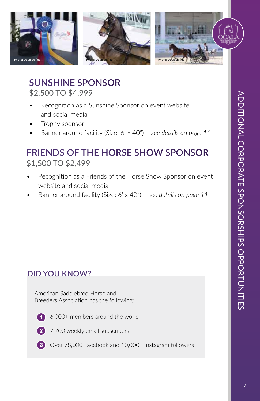

\$2,500 TO \$4,999 **SUNSHINE SPONSOR**

- Recognition as a Sunshine Sponsor on event website and social media
- Trophy sponsor
- Banner around facility (Size: 6' x 40") *see details on page 11*

# \$1,500 TO \$2,499 **FRIENDS OF THE HORSE SHOW SPONSOR**

- Recognition as a Friends of the Horse Show Sponsor on event website and social media
- Banner around facility (Size: 6' x 40") *see details on page 11*

# **DID YOU KNOW?**

American Saddlebred Horse and Breeders Association has the following:



6,000+ members around the world



2 7,700 weekly email subscribers

**3** Over 78,000 Facebook and 10,000+ Instagram followers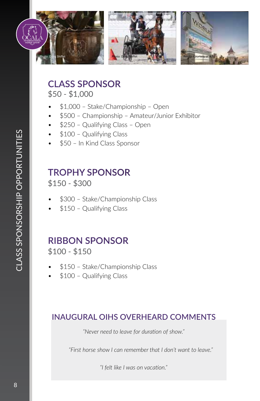

**CLASS SPONSOR**

\$50 - \$1,000

- \$1,000 Stake/Championship Open
- \$500 Championship Amateur/Junior Exhibitor
- \$250 Qualifying Class Open
- \$100 Qualifying Class
- \$50 In Kind Class Sponsor

# **TROPHY SPONSOR**

\$150 - \$300

- \$300 Stake/Championship Class
- \$150 Qualifying Class

# **RIBBON SPONSOR**

\$100 - \$150

- \$150 Stake/Championship Class
- \$100 Qualifying Class

#### **INAUGURAL OIHS OVERHEARD COMMENTS**

*"Never need to leave for duration of show."*

*"First horse show I can remember that I don't want to leave."*

*"I felt like I was on vacation."*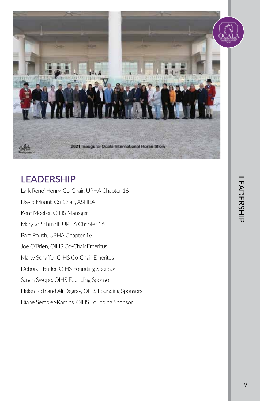

# **LEADERSHIP**

Lark Rene' Henry, Co-Chair, UPHA Chapter 16 David Mount, Co-Chair, ASHBA Kent Moeller, OIHS Manager Mary Jo Schmidt, UPHA Chapter 16 Pam Roush, UPHA Chapter 16 Joe O'Brien, OIHS Co-Chair Emeritus Marty Schaffel, OIHS Co-Chair Emeritus Deborah Butler, OIHS Founding Sponsor Susan Swope, OIHS Founding Sponsor Helen Rich and Ali Degray, OIHS Founding Sponsors Diane Sembler-Kamins, OIHS Founding Sponsor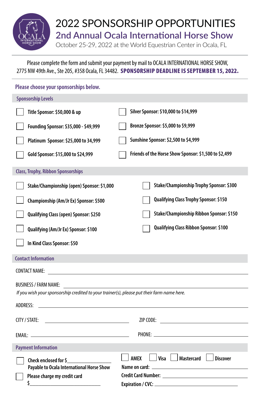

#### Please complete the form and submit your payment by mail to OCALA INTERNATIONAL HORSE SHOW, 2775 NW 49th Ave., Ste 205, #358 Ocala, FL 34482. SPONSORSHIP DEADLINE IS SEPTEMBER 15, 2022.

| Please choose your sponsorships below.                                                                                                                                                                                                           |                                                           |
|--------------------------------------------------------------------------------------------------------------------------------------------------------------------------------------------------------------------------------------------------|-----------------------------------------------------------|
| <b>Sponsorship Levels</b>                                                                                                                                                                                                                        |                                                           |
| Title Sponsor: \$50,000 & up                                                                                                                                                                                                                     | Silver Sponsor: \$10,000 to \$14,999                      |
| Founding Sponsor: \$35,000 - \$49,999                                                                                                                                                                                                            | Bronze Sponsor: \$5,000 to \$9,999                        |
| Platinum Sponsor: \$25,000 to 34,999                                                                                                                                                                                                             | Sunshine Sponsor: \$2,500 to \$4,999                      |
| Gold Sponsor: \$15,000 to \$24,999                                                                                                                                                                                                               | Friends of the Horse Show Sponsor: \$1,500 to \$2,499     |
| <b>Class, Trophy, Ribbon Sponsorships</b>                                                                                                                                                                                                        |                                                           |
| Stake/Championship (open) Sponsor: \$1,000                                                                                                                                                                                                       | Stake/Championship Trophy Sponsor: \$300                  |
| Championship (Am/Jr Ex) Sponsor: \$500                                                                                                                                                                                                           | Qualifying Class Trophy Sponsor: \$150                    |
| Qualifying Class (open) Sponsor: \$250                                                                                                                                                                                                           | Stake/Championship Ribbon Sponsor: \$150                  |
| Qualifying (Am/Jr Ex) Sponsor: \$100                                                                                                                                                                                                             | Qualifying Class Ribbon Sponsor: \$100                    |
| In Kind Class Sponsor: \$50                                                                                                                                                                                                                      |                                                           |
| <b>Contact Information</b>                                                                                                                                                                                                                       |                                                           |
| CONTACT NAME:                                                                                                                                                                                                                                    |                                                           |
| <b>BUSINESS / FARM NAME:</b>                                                                                                                                                                                                                     |                                                           |
| If you wish your sponsorship credited to your trainer(s), please put their farm name here.                                                                                                                                                       |                                                           |
| <u>and the contract of the contract of the contract of the contract of the contract of the contract of the contract of the contract of the contract of the contract of the contract of the contract of the contract of the contr</u><br>ADDRESS: |                                                           |
| CITY / STATE:                                                                                                                                                                                                                                    |                                                           |
|                                                                                                                                                                                                                                                  |                                                           |
|                                                                                                                                                                                                                                                  |                                                           |
| <b>Payment Information</b>                                                                                                                                                                                                                       |                                                           |
| Check enclosed for \$                                                                                                                                                                                                                            | Mastercard<br>  Visa  <br>AMEX<br><b>Discover</b>         |
| Payable to Ocala International Horse Show                                                                                                                                                                                                        | Credit Card Number: University of the Credit Card Number: |
| Please charge my credit card<br>\$.                                                                                                                                                                                                              | Expiration / CVC: _                                       |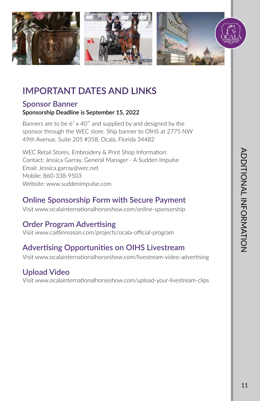

# **IMPORTANT DATES AND LINKS**

#### **Sponsor Banner**

#### **Sponsorship Deadline is September 15, 2022**

Banners are to be  $6'$  x 40" and supplied by and designed by the sponsor through the WEC store. Ship banner to OIHS at 2775 NW 49th Avenue, Suite 205 #358, Ocala, Florida 34482

WEC Retail Stores, Embroidery & Print Shop Information: Contact: Jessica Garray, General Manager - A Sudden Impulse Email: Jessica.garray@wec.net Mobile: 860-338-9503 Website: www.suddenimpulse.com

# **Online Sponsorship Form with Secure Payment**

Visit www.ocalainternationalhorseshow.com/online-sponsorship

# **Order Program Advertising**

Visit www.caitlinreason.com/projects/ocala-official-program

# **Advertising Opportunities on OIHS Livestream**

Visit www.ocalainternationalhorseshow.com/livestream-video-advertising

# **Upload Video**

Visit www.ocalainternationalhorseshow.com/upload-your-livestream-clips